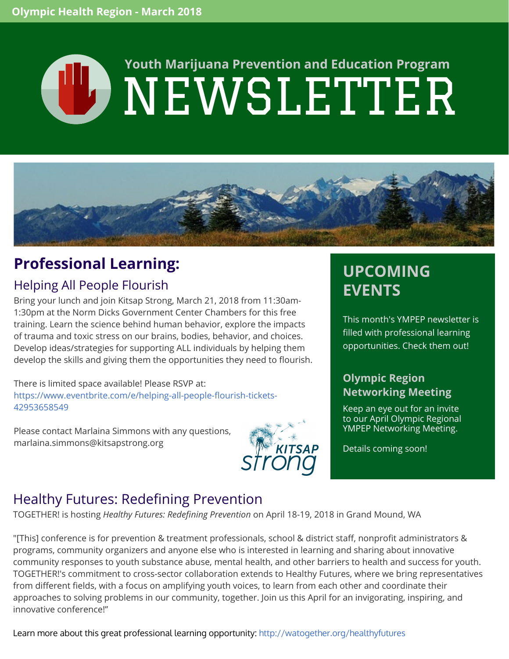# **CD NEWSLETTER Youth Marijuana Prevention and Education Program**



## **Professional Learning:**

#### Helping All People Flourish

Bring your lunch and join Kitsap Strong, March 21, 2018 from 11:30am-1:30pm at the Norm Dicks Government Center Chambers for this free training. Learn the science behind human behavior, explore the impacts of trauma and toxic stress on our brains, bodies, behavior, and choices. Develop ideas/strategies for supporting ALL individuals by helping them develop the skills and giving them the opportunities they need to flourish.

There is limited space available! Please RSVP at: [https://www.eventbrite.com/e/helping-all-people-flourish-tickets-](https://www.eventbrite.com/e/helping-all-people-flourish-tickets-42953658549)42953658549

Please contact Marlaina Simmons with any questions, [marlaina.simmons@kitsapstrong.org](mailto:marlaina.simmons@kitsapstrong.org)



## **UPCOMING EVENTS**

This month's YMPEP newsletter is filled with professional learning opportunities. Check them out!

#### **Olympic Region Networking Meeting**

Keep an eye out for an invite to our April Olympic Regional YMPEP Networking Meeting.

Details coming soon!

#### Healthy Futures: Redefining Prevention

TOGETHER! is hosting *Healthy Futures: Redefining Prevention* on April 18-19, 2018 in Grand Mound, WA

"[This] conference is for prevention & treatment professionals, school & district staff, nonprofit administrators & programs, community organizers and anyone else who is interested in learning and sharing about innovative community responses to youth substance abuse, mental health, and other barriers to health and success for youth. TOGETHER!'s commitment to cross-sector collaboration extends to Healthy Futures, where we bring representatives from different fields, with a focus on amplifying youth voices, to learn from each other and coordinate their approaches to solving problems in our community, together. Join us this April for an invigorating, inspiring, and innovative conference!"

Learn more about this great professional learning opportunity: <http://watogether.org/healthyfutures>